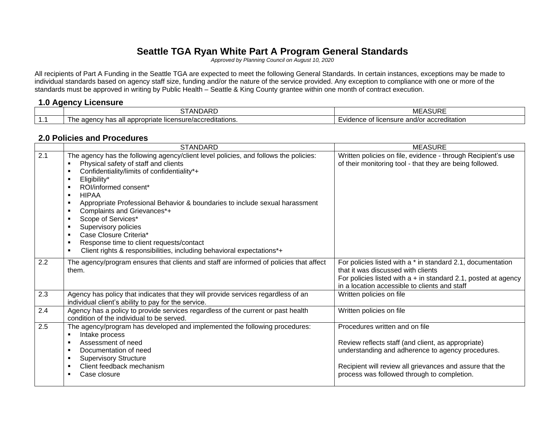# **Seattle TGA Ryan White Part A Program General Standards**

*Approved by Planning Council on August 10, 2020*

All recipients of Part A Funding in the Seattle TGA are expected to meet the following General Standards. In certain instances, exceptions may be made to individual standards based on agency staff size, funding and/or the nature of the service provided. Any exception to compliance with one or more of the standards must be approved in writing by Public Health – Seattle & King County grantee within one month of contract execution.

### **1.0 Agency Licensure**

|   | .<br>.<br>---<br>⋯                                                                                                 | $\sim$<br>--<br><b>IVIE</b><br>אטטר⊾                          |
|---|--------------------------------------------------------------------------------------------------------------------|---------------------------------------------------------------|
| . | editations.<br>. .<br>00000<br>licensur<br>. C<br>-<br>ropriate<br>appre<br>ı ezauul<br>aucho<br>a<br>. 100<br>. . | ıcensure<br>and/or accreditation ؛<br>mm<br>^*<br>ັບເ<br>סטוי |

#### **2.0 Policies and Procedures**

|     | <b>STANDARD</b>                                                                                                                                                                                                                                                                                                                                                                                                                                                                                                                                                                                                                                               | <b>MEASURE</b>                                                                                                                                                                                                                                       |
|-----|---------------------------------------------------------------------------------------------------------------------------------------------------------------------------------------------------------------------------------------------------------------------------------------------------------------------------------------------------------------------------------------------------------------------------------------------------------------------------------------------------------------------------------------------------------------------------------------------------------------------------------------------------------------|------------------------------------------------------------------------------------------------------------------------------------------------------------------------------------------------------------------------------------------------------|
| 2.1 | The agency has the following agency/client level policies, and follows the policies:<br>Physical safety of staff and clients<br>Confidentiality/limits of confidentiality*+<br>$\blacksquare$<br>Eligibility*<br>ROI/informed consent*<br><b>HIPAA</b><br>$\blacksquare$<br>Appropriate Professional Behavior & boundaries to include sexual harassment<br>٠<br>Complaints and Grievances*+<br>٠<br>Scope of Services*<br>٠<br>Supervisory policies<br>$\blacksquare$<br>Case Closure Criteria*<br>$\blacksquare$<br>Response time to client requests/contact<br>٠<br>Client rights & responsibilities, including behavioral expectations*+<br>$\blacksquare$ | Written policies on file, evidence - through Recipient's use<br>of their monitoring tool - that they are being followed.                                                                                                                             |
| 2.2 | The agency/program ensures that clients and staff are informed of policies that affect<br>them.                                                                                                                                                                                                                                                                                                                                                                                                                                                                                                                                                               | For policies listed with a * in standard 2.1, documentation<br>that it was discussed with clients<br>For policies listed with $a + in$ standard 2.1, posted at agency<br>in a location accessible to clients and staff                               |
| 2.3 | Agency has policy that indicates that they will provide services regardless of an<br>individual client's ability to pay for the service.                                                                                                                                                                                                                                                                                                                                                                                                                                                                                                                      | Written policies on file                                                                                                                                                                                                                             |
| 2.4 | Agency has a policy to provide services regardless of the current or past health<br>condition of the individual to be served.                                                                                                                                                                                                                                                                                                                                                                                                                                                                                                                                 | Written policies on file                                                                                                                                                                                                                             |
| 2.5 | The agency/program has developed and implemented the following procedures:<br>Intake process<br>$\blacksquare$<br>Assessment of need<br>٠<br>Documentation of need<br>$\blacksquare$<br><b>Supervisory Structure</b><br>Client feedback mechanism<br>٠<br>Case closure                                                                                                                                                                                                                                                                                                                                                                                        | Procedures written and on file<br>Review reflects staff (and client, as appropriate)<br>understanding and adherence to agency procedures.<br>Recipient will review all grievances and assure that the<br>process was followed through to completion. |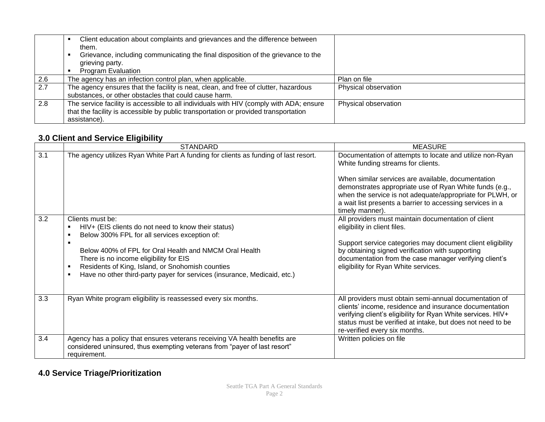|     | Client education about complaints and grievances and the difference between<br>them.<br>Grievance, including communicating the final disposition of the grievance to the<br>grieving party.<br><b>Program Evaluation</b> |                      |
|-----|--------------------------------------------------------------------------------------------------------------------------------------------------------------------------------------------------------------------------|----------------------|
|     |                                                                                                                                                                                                                          |                      |
| 2.6 | The agency has an infection control plan, when applicable.                                                                                                                                                               | Plan on file         |
| 2.7 | The agency ensures that the facility is neat, clean, and free of clutter, hazardous                                                                                                                                      | Physical observation |
|     | substances, or other obstacles that could cause harm.                                                                                                                                                                    |                      |
| 2.8 | The service facility is accessible to all individuals with HIV (comply with ADA; ensure                                                                                                                                  | Physical observation |
|     | that the facility is accessible by public transportation or provided transportation                                                                                                                                      |                      |
|     | assistance).                                                                                                                                                                                                             |                      |

## **3.0 Client and Service Eligibility**

|     | - --- g------ <sub>-</sub><br><b>STANDARD</b>                                                                                                                                                                                                                                                                                                                | <b>MEASURE</b>                                                                                                                                                                                                                                                                                                                                               |
|-----|--------------------------------------------------------------------------------------------------------------------------------------------------------------------------------------------------------------------------------------------------------------------------------------------------------------------------------------------------------------|--------------------------------------------------------------------------------------------------------------------------------------------------------------------------------------------------------------------------------------------------------------------------------------------------------------------------------------------------------------|
| 3.1 | The agency utilizes Ryan White Part A funding for clients as funding of last resort.                                                                                                                                                                                                                                                                         | Documentation of attempts to locate and utilize non-Ryan<br>White funding streams for clients.<br>When similar services are available, documentation<br>demonstrates appropriate use of Ryan White funds (e.g.,<br>when the service is not adequate/appropriate for PLWH, or<br>a wait list presents a barrier to accessing services in a<br>timely manner). |
| 3.2 | Clients must be:<br>HIV+ (EIS clients do not need to know their status)<br>Below 300% FPL for all services exception of:<br>Below 400% of FPL for Oral Health and NMCM Oral Health<br>There is no income eligibility for EIS<br>Residents of King, Island, or Snohomish counties<br>Have no other third-party payer for services (insurance, Medicaid, etc.) | All providers must maintain documentation of client<br>eligibility in client files.<br>Support service categories may document client eligibility<br>by obtaining signed verification with supporting<br>documentation from the case manager verifying client's<br>eligibility for Ryan White services.                                                      |
| 3.3 | Ryan White program eligibility is reassessed every six months.                                                                                                                                                                                                                                                                                               | All providers must obtain semi-annual documentation of<br>clients' income, residence and insurance documentation<br>verifying client's eligibility for Ryan White services. HIV+<br>status must be verified at intake, but does not need to be<br>re-verified every six months.                                                                              |
| 3.4 | Agency has a policy that ensures veterans receiving VA health benefits are<br>considered uninsured, thus exempting veterans from "payer of last resort"<br>requirement.                                                                                                                                                                                      | Written policies on file                                                                                                                                                                                                                                                                                                                                     |

# **4.0 Service Triage/Prioritization**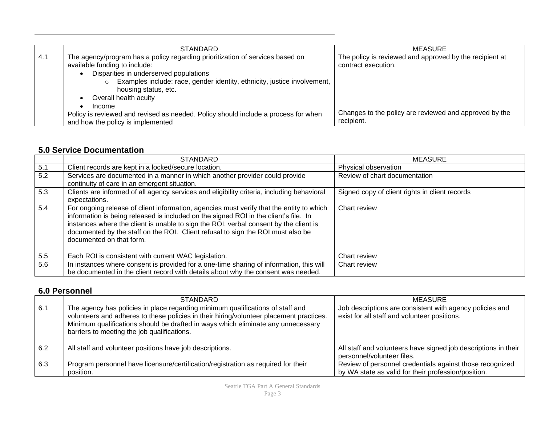|     | <b>STANDARD</b>                                                                                                                                                                                                                                                                                 | MEASURE                                                                        |
|-----|-------------------------------------------------------------------------------------------------------------------------------------------------------------------------------------------------------------------------------------------------------------------------------------------------|--------------------------------------------------------------------------------|
| 4.1 | The agency/program has a policy regarding prioritization of services based on<br>available funding to include:<br>Disparities in underserved populations<br>Examples include: race, gender identity, ethnicity, justice involvement,<br>housing status, etc.<br>Overall health acuity<br>Income | The policy is reviewed and approved by the recipient at<br>contract execution. |
|     | Policy is reviewed and revised as needed. Policy should include a process for when<br>and how the policy is implemented                                                                                                                                                                         | Changes to the policy are reviewed and approved by the<br>recipient.           |

## **5.0 Service Documentation**

|                  | <b>STANDARD</b>                                                                                                                                                                                                                                                                                                                                                                          | <b>MEASURE</b>                                 |
|------------------|------------------------------------------------------------------------------------------------------------------------------------------------------------------------------------------------------------------------------------------------------------------------------------------------------------------------------------------------------------------------------------------|------------------------------------------------|
| 5.1              | Client records are kept in a locked/secure location.                                                                                                                                                                                                                                                                                                                                     | Physical observation                           |
| $\overline{5.2}$ | Services are documented in a manner in which another provider could provide                                                                                                                                                                                                                                                                                                              | Review of chart documentation                  |
|                  | continuity of care in an emergent situation.                                                                                                                                                                                                                                                                                                                                             |                                                |
| 5.3              | Clients are informed of all agency services and eligibility criteria, including behavioral                                                                                                                                                                                                                                                                                               | Signed copy of client rights in client records |
|                  | expectations.                                                                                                                                                                                                                                                                                                                                                                            |                                                |
| 5.4              | For ongoing release of client information, agencies must verify that the entity to which<br>information is being released is included on the signed ROI in the client's file. In<br>instances where the client is unable to sign the ROI, verbal consent by the client is<br>documented by the staff on the ROI. Client refusal to sign the ROI must also be<br>documented on that form. | Chart review                                   |
| 5.5              | Each ROI is consistent with current WAC legislation.                                                                                                                                                                                                                                                                                                                                     | Chart review                                   |
| 5.6              | In instances where consent is provided for a one-time sharing of information, this will                                                                                                                                                                                                                                                                                                  | Chart review                                   |
|                  | be documented in the client record with details about why the consent was needed.                                                                                                                                                                                                                                                                                                        |                                                |

## **6.0 Personnel**

|     | <b>STANDARD</b>                                                                                                                                                                                                                                                                                              | <b>MEASURE</b>                                                                                                  |
|-----|--------------------------------------------------------------------------------------------------------------------------------------------------------------------------------------------------------------------------------------------------------------------------------------------------------------|-----------------------------------------------------------------------------------------------------------------|
| 6.1 | The agency has policies in place regarding minimum qualifications of staff and<br>volunteers and adheres to these policies in their hiring/volunteer placement practices.<br>Minimum qualifications should be drafted in ways which eliminate any unnecessary<br>barriers to meeting the job qualifications. | Job descriptions are consistent with agency policies and<br>exist for all staff and volunteer positions.        |
| 6.2 | All staff and volunteer positions have job descriptions.                                                                                                                                                                                                                                                     | All staff and volunteers have signed job descriptions in their<br>personnel/volunteer files.                    |
| 6.3 | Program personnel have licensure/certification/registration as required for their<br>position.                                                                                                                                                                                                               | Review of personnel credentials against those recognized<br>by WA state as valid for their profession/position. |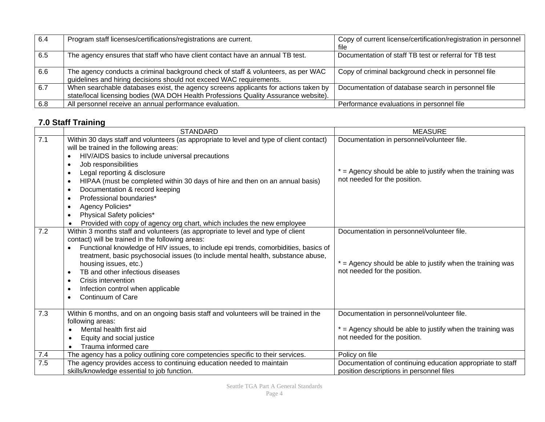| 6.4 | Program staff licenses/certifications/registrations are current.                                                                                                           | Copy of current license/certification/registration in personnel<br>file |
|-----|----------------------------------------------------------------------------------------------------------------------------------------------------------------------------|-------------------------------------------------------------------------|
| 6.5 | The agency ensures that staff who have client contact have an annual TB test.                                                                                              | Documentation of staff TB test or referral for TB test                  |
| 6.6 | The agency conducts a criminal background check of staff & volunteers, as per WAC<br>guidelines and hiring decisions should not exceed WAC requirements.                   | Copy of criminal background check in personnel file                     |
| 6.7 | When searchable databases exist, the agency screens applicants for actions taken by<br>state/local licensing bodies (WA DOH Health Professions Quality Assurance website). | Documentation of database search in personnel file                      |
| 6.8 | All personnel receive an annual performance evaluation.                                                                                                                    | Performance evaluations in personnel file                               |

# **7.0 Staff Training**

|     | <b>STANDARD</b>                                                                                  | <b>MEASURE</b>                                               |
|-----|--------------------------------------------------------------------------------------------------|--------------------------------------------------------------|
| 7.1 | Within 30 days staff and volunteers (as appropriate to level and type of client contact)         | Documentation in personnel/volunteer file.                   |
|     | will be trained in the following areas:                                                          |                                                              |
|     | HIV/AIDS basics to include universal precautions<br>$\bullet$                                    |                                                              |
|     | Job responsibilities<br>$\bullet$                                                                |                                                              |
|     | Legal reporting & disclosure<br>$\bullet$                                                        | * = Agency should be able to justify when the training was   |
|     | HIPAA (must be completed within 30 days of hire and then on an annual basis)<br>$\bullet$        | not needed for the position.                                 |
|     | Documentation & record keeping<br>$\bullet$                                                      |                                                              |
|     | Professional boundaries*<br>$\bullet$                                                            |                                                              |
|     | Agency Policies*<br>$\bullet$                                                                    |                                                              |
|     | Physical Safety policies*<br>$\bullet$                                                           |                                                              |
|     | Provided with copy of agency org chart, which includes the new employee                          |                                                              |
| 7.2 | Within 3 months staff and volunteers (as appropriate to level and type of client                 | Documentation in personnel/volunteer file.                   |
|     | contact) will be trained in the following areas:                                                 |                                                              |
|     | Functional knowledge of HIV issues, to include epi trends, comorbidities, basics of<br>$\bullet$ |                                                              |
|     | treatment, basic psychosocial issues (to include mental health, substance abuse,                 |                                                              |
|     | housing issues, etc.)                                                                            | $*$ = Agency should be able to justify when the training was |
|     | TB and other infectious diseases<br>$\bullet$                                                    | not needed for the position.                                 |
|     | Crisis intervention<br>$\bullet$                                                                 |                                                              |
|     | Infection control when applicable<br>$\bullet$                                                   |                                                              |
|     | Continuum of Care<br>$\bullet$                                                                   |                                                              |
|     |                                                                                                  |                                                              |
| 7.3 | Within 6 months, and on an ongoing basis staff and volunteers will be trained in the             | Documentation in personnel/volunteer file.                   |
|     | following areas:                                                                                 |                                                              |
|     | Mental health first aid                                                                          | * = Agency should be able to justify when the training was   |
|     | Equity and social justice<br>$\bullet$                                                           | not needed for the position.                                 |
|     | Trauma informed care<br>$\bullet$                                                                |                                                              |
| 7.4 | The agency has a policy outlining core competencies specific to their services.                  | Policy on file                                               |
| 7.5 | The agency provides access to continuing education needed to maintain                            | Documentation of continuing education appropriate to staff   |
|     | skills/knowledge essential to job function.                                                      | position descriptions in personnel files                     |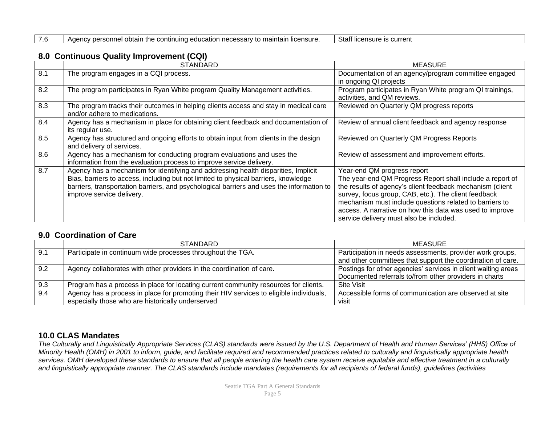| 7.6<br>Staff licensure is current<br>I Agency personnel obtain the continuing education necessary to maintain licensure. |
|--------------------------------------------------------------------------------------------------------------------------|
|--------------------------------------------------------------------------------------------------------------------------|

### **8.0 Continuous Quality Improvement (CQI)**

|     | <b>STANDARD</b>                                                                                                                                                                                                                                                                                     | <b>MEASURE</b>                                                                                                                                                                                                                                                                                                                                                                  |
|-----|-----------------------------------------------------------------------------------------------------------------------------------------------------------------------------------------------------------------------------------------------------------------------------------------------------|---------------------------------------------------------------------------------------------------------------------------------------------------------------------------------------------------------------------------------------------------------------------------------------------------------------------------------------------------------------------------------|
| 8.1 | The program engages in a CQI process.                                                                                                                                                                                                                                                               | Documentation of an agency/program committee engaged<br>in ongoing QI projects                                                                                                                                                                                                                                                                                                  |
| 8.2 | The program participates in Ryan White program Quality Management activities.                                                                                                                                                                                                                       | Program participates in Ryan White program QI trainings,<br>activities, and QM reviews.                                                                                                                                                                                                                                                                                         |
| 8.3 | The program tracks their outcomes in helping clients access and stay in medical care<br>and/or adhere to medications.                                                                                                                                                                               | Reviewed on Quarterly QM progress reports                                                                                                                                                                                                                                                                                                                                       |
| 8.4 | Agency has a mechanism in place for obtaining client feedback and documentation of<br>its regular use.                                                                                                                                                                                              | Review of annual client feedback and agency response                                                                                                                                                                                                                                                                                                                            |
| 8.5 | Agency has structured and ongoing efforts to obtain input from clients in the design<br>and delivery of services.                                                                                                                                                                                   | Reviewed on Quarterly QM Progress Reports                                                                                                                                                                                                                                                                                                                                       |
| 8.6 | Agency has a mechanism for conducting program evaluations and uses the<br>information from the evaluation process to improve service delivery.                                                                                                                                                      | Review of assessment and improvement efforts.                                                                                                                                                                                                                                                                                                                                   |
| 8.7 | Agency has a mechanism for identifying and addressing health disparities, Implicit<br>Bias, barriers to access, including but not limited to physical barriers, knowledge<br>barriers, transportation barriers, and psychological barriers and uses the information to<br>improve service delivery. | Year-end QM progress report<br>The year-end QM Progress Report shall include a report of<br>the results of agency's client feedback mechanism (client<br>survey, focus group, CAB, etc.). The client feedback<br>mechanism must include questions related to barriers to<br>access. A narrative on how this data was used to improve<br>service delivery must also be included. |

### **9.0 Coordination of Care**

|     | <b>STANDARD</b>                                                                                                                              | MEASURE                                                                                                                  |
|-----|----------------------------------------------------------------------------------------------------------------------------------------------|--------------------------------------------------------------------------------------------------------------------------|
| 9.1 | Participate in continuum wide processes throughout the TGA.                                                                                  | Participation in needs assessments, provider work groups,<br>and other committees that support the coordination of care. |
| 9.2 | Agency collaborates with other providers in the coordination of care.                                                                        | Postings for other agencies' services in client waiting areas<br>Documented referrals to/from other providers in charts  |
| 9.3 | Program has a process in place for locating current community resources for clients.                                                         | Site Visit                                                                                                               |
| 9.4 | Agency has a process in place for promoting their HIV services to eligible individuals,<br>especially those who are historically underserved | Accessible forms of communication are observed at site<br>visit                                                          |

## **10.0 CLAS Mandates**

*The Culturally and Linguistically Appropriate Services (CLAS) standards were issued by the U.S. Department of Health and Human Services' (HHS) Office of Minority Health (OMH) in 2001 to inform, guide, and facilitate required and recommended practices related to culturally and linguistically appropriate health services. OMH developed these standards to ensure that all people entering the health care system receive equitable and effective treatment in a culturally and linguistically appropriate manner. The CLAS standards include mandates (requirements for all recipients of federal funds), guidelines (activities*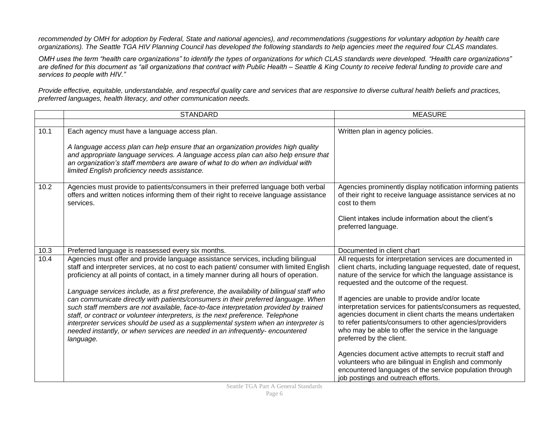*recommended by OMH for adoption by Federal, State and national agencies), and recommendations (suggestions for voluntary adoption by health care organizations). The Seattle TGA HIV Planning Council has developed the following standards to help agencies meet the required four CLAS mandates.* 

*OMH uses the term "health care organizations" to identify the types of organizations for which CLAS standards were developed. "Health care organizations" are defined for this document as "all organizations that contract with Public Health – Seattle & King County to receive federal funding to provide care and services to people with HIV."*

*Provide effective, equitable, understandable, and respectful quality care and services that are responsive to diverse cultural health beliefs and practices, preferred languages, health literacy, and other communication needs.* 

|      | <b>STANDARD</b>                                                                                                                                                                                                                                                                                                                                                                                                                                                                                                                                  | <b>MEASURE</b>                                                                                                                                                                                                                                                                                                            |
|------|--------------------------------------------------------------------------------------------------------------------------------------------------------------------------------------------------------------------------------------------------------------------------------------------------------------------------------------------------------------------------------------------------------------------------------------------------------------------------------------------------------------------------------------------------|---------------------------------------------------------------------------------------------------------------------------------------------------------------------------------------------------------------------------------------------------------------------------------------------------------------------------|
|      |                                                                                                                                                                                                                                                                                                                                                                                                                                                                                                                                                  |                                                                                                                                                                                                                                                                                                                           |
| 10.1 | Each agency must have a language access plan.<br>A language access plan can help ensure that an organization provides high quality<br>and appropriate language services. A language access plan can also help ensure that<br>an organization's staff members are aware of what to do when an individual with<br>limited English proficiency needs assistance.                                                                                                                                                                                    | Written plan in agency policies.                                                                                                                                                                                                                                                                                          |
| 10.2 | Agencies must provide to patients/consumers in their preferred language both verbal<br>offers and written notices informing them of their right to receive language assistance<br>services.                                                                                                                                                                                                                                                                                                                                                      | Agencies prominently display notification informing patients<br>of their right to receive language assistance services at no<br>cost to them<br>Client intakes include information about the client's<br>preferred language.                                                                                              |
| 10.3 | Preferred language is reassessed every six months.                                                                                                                                                                                                                                                                                                                                                                                                                                                                                               | Documented in client chart                                                                                                                                                                                                                                                                                                |
| 10.4 | Agencies must offer and provide language assistance services, including bilingual<br>staff and interpreter services, at no cost to each patient/ consumer with limited English<br>proficiency at all points of contact, in a timely manner during all hours of operation.                                                                                                                                                                                                                                                                        | All requests for interpretation services are documented in<br>client charts, including language requested, date of request,<br>nature of the service for which the language assistance is<br>requested and the outcome of the request.                                                                                    |
|      | Language services include, as a first preference, the availability of bilingual staff who<br>can communicate directly with patients/consumers in their preferred language. When<br>such staff members are not available, face-to-face interpretation provided by trained<br>staff, or contract or volunteer interpreters, is the next preference. Telephone<br>interpreter services should be used as a supplemental system when an interpreter is<br>needed instantly, or when services are needed in an infrequently- encountered<br>language. | If agencies are unable to provide and/or locate<br>interpretation services for patients/consumers as requested,<br>agencies document in client charts the means undertaken<br>to refer patients/consumers to other agencies/providers<br>who may be able to offer the service in the language<br>preferred by the client. |
|      |                                                                                                                                                                                                                                                                                                                                                                                                                                                                                                                                                  | Agencies document active attempts to recruit staff and<br>volunteers who are bilingual in English and commonly<br>encountered languages of the service population through<br>job postings and outreach efforts.                                                                                                           |